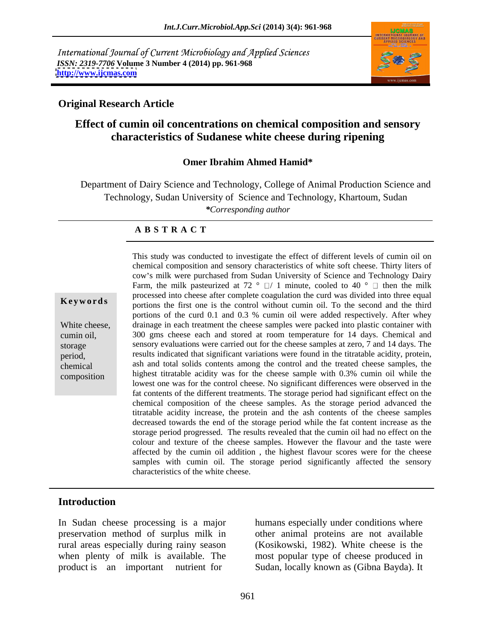International Journal of Current Microbiology and Applied Sciences *ISSN: 2319-7706* **Volume 3 Number 4 (2014) pp. 961-968 <http://www.ijcmas.com>**



## **Original Research Article**

## **Effect of cumin oil concentrations on chemical composition and sensory characteristics of Sudanese white cheese during ripening**

## **Omer Ibrahim Ahmed Hamid\***

Department of Dairy Science and Technology, College of Animal Production Science and Technology, Sudan University of Science and Technology, Khartoum, Sudan *\*Corresponding author* 

### **A B S T R A C T**

**Keywords** processed the checke different complete edguation the card was divided the third portions the first one is the control without cumin oil. To the second and the third White cheese, drainage in each treatment the cheese samples were packed into plastic container with cumin oil, 300 gms cheese each and stored at room temperature for 14 days. Chemical and storage sensory evaluations were carried out for the cheese samples at zero, 7 and 14 days. The period, results indicated that significant variations were found in the titratable acidity, protein, chemical ash and total solids contents among the control and the treated cheese samples, the composition highest titratable acidity was for the cheese sample with 0.3% cumin oil while the This study was conducted to investigate the effect of different levels of cumin oil on chemical composition and sensory characteristics of white soft cheese. Thirty liters of cow's milk were purchased from Sudan University of Science and Technology Dairy Farm, the milk pasteurized at 72  $\degree$   $\Box$  1 minute, cooled to 40  $\degree$   $\Box$  then the milk processed into cheese after complete coagulation the curd was divided into three equal portions of the curd 0.1 and 0.3 % cumin oil were added respectively. After whey lowest one was for the control cheese. No significant differences were observed in the fat contents of the different treatments. The storage period had significant effect on the chemical composition of the cheese samples. As the storage period advanced the titratable acidity increase, the protein and the ash contents of the cheese samples decreased towards the end of the storage period while the fat content increase as the storage period progressed. The results revealed that the cumin oil had no effect on the colour and texture of the cheese samples. However the flavour and the taste were affected by the cumin oil addition , the highest flavour scores were for the cheese samples with cumin oil. The storage period significantly affected the sensory characteristics of the white cheese.

## **Introduction**

In Sudan cheese processing is a major rural areas especially during rainy season

preservation method of surplus milk in other animal proteins are not available when plenty of milk is available. The most popular type of cheese produced in product is an important nutrient for Sudan, locally known as (Gibna Bayda). It humans especially under conditions where (Kosikowski, 1982). White cheese is the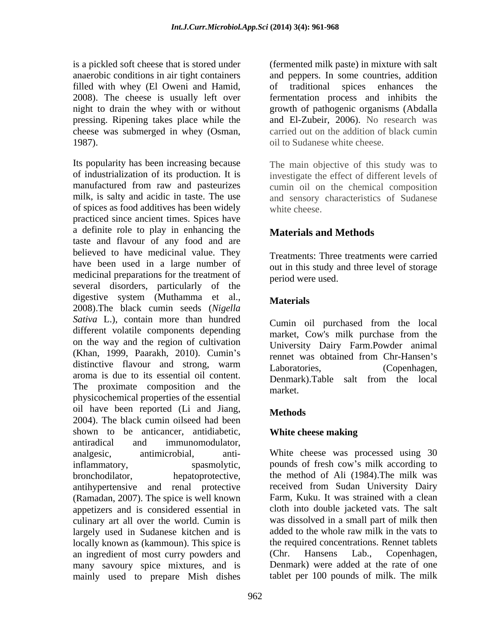filled with whey (El Oweni and Hamid, pressing. Ripening takes place while the cheese was submerged in whey (Osman, 1987). oil to Sudanese white cheese.

Its popularity has been increasing because of industrialization of its production. It is investigate the effect of different levels of manufactured from raw and pasteurizes cumin oil on the chemical composition milk, is salty and acidic in taste. The use and sensory characteristics of Sudanese of spices as food additives has been widely practiced since ancient times. Spices have a definite role to play in enhancing the taste and flavour of any food and are believed to have medicinal value. They have been used in a large number of medicinal preparations for the treatment of several disorders, particularly of the digestive system (Muthamma et al., Materials 2008).The black cumin seeds (*Nigella Sativa* L.), contain more than hundred different volatile components depending on the way and the region of cultivation (Khan, 1999, Paarakh, 2010). Cumin's distinctive flavour and strong, warm I aboratories (Copenhagen aroma is due to its essential oil content. The proximate composition and the  $\frac{2 \text{ cm}}{\text{market}}$ physicochemical properties of the essential oil have been reported (Li and Jiang, Methods 2004). The black cumin oilseed had been shown to be anticancer, antidiabetic, White cheese making antiradical and immunomodulator, analgesic, antimicrobial, anti-White cheese was processed using 30 inflammatory, spasmolytic, pounds of fresh cow's milk according to bronchodilator, hepatoprotective, the method of Ali (1984).The milk was antihypertensive and renal protective (Ramadan, 2007). The spice is well known appetizers and is considered essential in culinary art all over the world. Cumin is largely used in Sudanese kitchen and is locally known as (kammoun). This spice is an ingredient of most curry powders and (Chr. Hansens Lab., Copenhagen, many savoury spice mixtures, and is mainly used to prepare Mish dishes

is a pickled soft cheese that is stored under (fermented milk paste) in mixture with salt anaerobic conditions in air tight containers and peppers. In some countries, addition 2008). The cheese is usually left over fermentation process and inhibits the night to drain the whey with or without growth of pathogenic organisms (Abdalla of traditional spices enhances the and El-Zubeir, 2006). No research was carried out on the addition of black cumin

> The main objective of this study was to white cheese.

## **Materials and Methods**

Treatments: Three treatments were carried out in this study and three level of storage period were used.

## **Materials**

Cumin oil purchased from the local market, Cow's milk purchase from the University Dairy Farm.Powder animal rennet was obtained from Chr-Hansen's Laboratories, (Copenhagen, Denmark).Table salt from the local market.

## **Methods**

## **White cheese making**

received from Sudan University Dairy Farm, Kuku. It was strained with a clean cloth into double jacketed vats. The salt was dissolved in a small part of milk then added to the whole raw milk in the vats to the required concentrations. Rennet tablets (Chr. Hansens Lab., Copenhagen, Denmark) were added at the rate of one tablet per 100 pounds of milk. The milk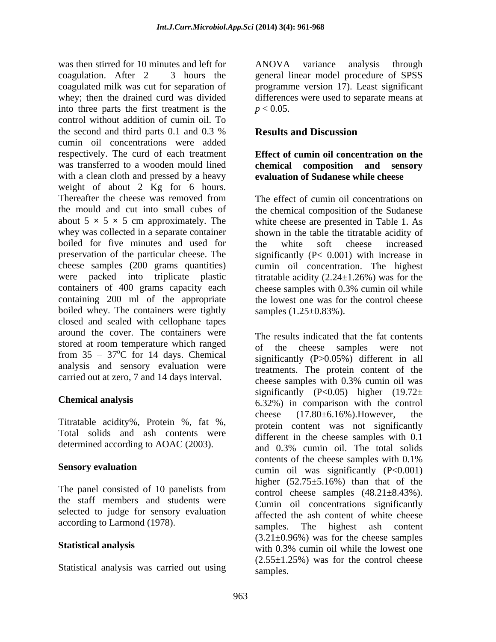was then stirred for 10 minutes and left for ANOVA variance analysis through coagulation. After 2 – 3 hours the general linear model procedure of SPSS coagulated milk was cut for separation of whey; then the drained curd was divided differences were used to separate means at into three parts the first treatment is the  $p < 0.05$ . control without addition of cumin oil. To the second and third parts 0.1 and 0.3 % Results and Discussion cumin oil concentrations were added respectively. The curd of each treatment was transferred to a wooden mould lined with a clean cloth and pressed by a heavy weight of about 2 Kg for 6 hours. Thereafter the cheese was removed from The effect of cumin oil concentrations on the mould and cut into small cubes of the chemical composition of the Sudanese about  $5 \times 5 \times 5$  cm approximately. The white cheese are presented in Table 1. As whey was collected in a separate container shown in the table the titratable acidity of boiled for five minutes and used for the white soft cheese increased preservation of the particular cheese. The significantly (P< 0.001) with increase in cheese samples (200 grams quantities) cumin oil concentration. The highest were packed into triplicate plastic titratable acidity (2.24 $\pm$ 1.26%) was for the containers of 400 grams capacity each cheese samples with 0.3% cumin oil while containing 200 ml of the appropriate the lowest one was for the control cheese boiled whey. The containers were tightly closed and sealed with cellophane tapes around the cover. The containers were stored at room temperature which ranged of the cheese samples were not from  $35 - 37^{\circ}$ C for 14 days. Chemical analysis and sensory evaluation were

Total solids and ash contents were

The panel consisted of 10 panelists from the staff members and students were selected to judge for sensory evaluation

Statistical analysis was carried out using

ANOVA variance analysis through programme version 17). Least significant  $p < 0.05$ .

## **Results and Discussion**

## **Effect of cumin oil concentration on the chemical composition and sensory evaluation of Sudanese while cheese**

The effect of cumin oil concentrations on the white soft cheese increased cheese samples with 0.3% cumin oil while samples  $(1.25 \pm 0.83\%)$ .

carried out at zero, 7 and 14 days interval.<br>
cheese samples with 0.3% cumin oil was **Chemical analysis** 6.32%) in comparison with the control Titratable acidity%, Protein %, fat %, energy cheese (17.80±6.16%). However, determined according to AOAC (2003). and 0.3% cumin oil. The total solids **Sensory evaluation**<br>
cumin oil was significantly (P<0.001) according to Larmond (1978).<br>
samples. The highest ash content **Statistical analysis**<br>
with 0.3% cumin oil while the lowest one The results indicated that the fat contents of the cheese samples were not significantly (P>0.05%) different in all treatments. The protein content of the cheese samples with 0.3% cumin oil was significantly (P<0.05) higher  $(19.72\pm$ cheese  $(17.80\pm6.16\%)$ . However, the protein content was not significantly different in the cheese samples with 0.1 and 0.3% cumin oil. The total solids contents of the cheese samples with 0.1% higher  $(52.75\pm5.16\%)$  than that of the control cheese samples (48.21±8.43%). Cumin oil concentrations significantly affected the ash content of white cheese  $(3.21\pm0.96\%)$  was for the cheese samples  $(2.55\pm1.25\%)$  was for the control cheese samples.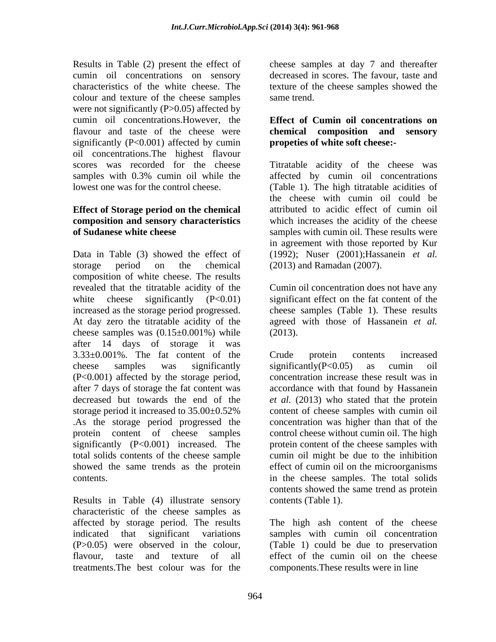Results in Table (2) present the effect of cheese samples at day 7 and thereafter cumin oil concentrations on sensory decreased in scores. The favour, taste and characteristics of the white cheese. The texture of the cheese samples showed the colour and texture of the cheese samples same trend. were not significantly (P>0.05) affected by cumin oil concentrations.However, the flavour and taste of the cheese were significantly (P<0.001) affected by cumin oil concentrations.The highest flavour

# **Effect of Storage period on the chemical**

Data in Table (3) showed the effect of (1992); Nuser (2001); Hassanein *et al.* storage period on the chemical (2013) and Ramadan (2007). composition of white cheese. The results revealed that the titratable acidity of the white cheese significantly  $(P<0.01)$  significant effect on the fat content of the increased as the storage period progressed. At day zero the titratable acidity of the cheese samples was  $(0.15 \pm 0.001\%)$  while  $(2013)$ . after 14 days of storage it was 3.33±0.001%. The fat content of the cheese samples was significantly significantly  $(P<0.05)$  as cumin oil (P<0.001) affected by the storage period, after 7 days of storage the fat contentwas accordance with that found by Hassanein decreased but towards the end of the *et al.* (2013) who stated that the protein storage period it increased to 35.00±0.52% .As the storage period progressed the concentration was higher than that of the protein content of cheese samples control cheese without cumin oil. The high significantly (P<0.001) increased. The protein content of the cheese samples with total solids contents of the cheese sample cumin oil might be due to the inhibition showed the same trends as the protein contents. in the cheese samples. The total solids

Results in Table (4) illustrate sensory characteristic of the cheese samples as treatments.The best colour was for the

same trend.

## **Effect of Cumin oil concentrations on chemical composition and sensory propeties of white soft cheese:-**

scores was recorded for the cheese Titratable acidity of the cheese was samples with 0.3% cumin oil while the affected by cumin oil concentrations lowest one was for the control cheese. (Table 1). The high titratable acidities of **composition and sensory characteristics** which increases the acidity of the cheese **of Sudanese white cheese** samples with cumin oil. These results were the cheese with cumin oil could be attributed to acidic effect of cumin oil in agreement with those reported by Kur (2013) and Ramadan (2007).

> Cumin oil concentration does not have any cheese samples (Table 1). These results agreed with those of Hassanein *et al.* (2013).

Crude protein contents increased significantly(P<0.05) as cumin oil concentration increase these result was in content of cheese samples with cumin oil effect of cumin oil on the microorganisms contents showed the same trend as protein contents (Table 1).

affected by storage period. The results The high ash content of the cheese indicated that significant variations samples with cumin oil concentration (P>0.05) were observed in the colour, (Table 1) could be due to preservation flavour, taste and texture of all effect of the cumin oil on the cheese components.These results were in line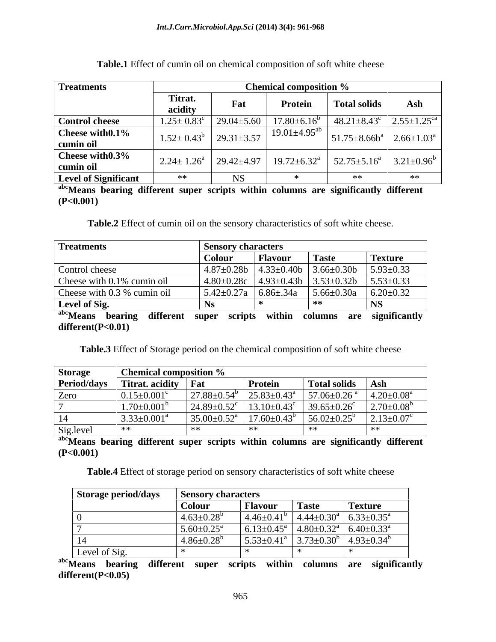| <b>Treatments</b>                          |                                            |           | <b>Chemical composition %</b>                                                                                                   |                                                           |    |
|--------------------------------------------|--------------------------------------------|-----------|---------------------------------------------------------------------------------------------------------------------------------|-----------------------------------------------------------|----|
|                                            | Titrat.<br>aciditv                         | Fat       | <b>Protein</b>                                                                                                                  | <b>Total solids</b>                                       |    |
| <b>Control cheese</b>                      |                                            |           | $1.25 \pm 0.83^c$   $29.04 \pm 5.60$   $17.80 \pm 6.16^b$   $48.21 \pm 8.43^c$   $2.55 \pm 1.25^{ca}$                           |                                                           |    |
| $\vert$ Cheese with $0.1\%$<br>  cumin oil | $1.52 \pm 0.43^{\circ}$   $29.31 \pm 3.57$ |           | $19.01 \pm 4.95^{ab}$                                                                                                           | $\vert$ 51.75±8.66b <sup>a</sup>   2.66±1.03 <sup>a</sup> |    |
| Cheese with $0.3\%$<br>cumin oil           |                                            |           | $\left  2.24 \pm 1.26^a \right  29.42 \pm 4.97 \left  19.72 \pm 6.32^a \right  52.75 \pm 5.16^a \left  3.21 \pm 0.96^b \right $ |                                                           |    |
| <b>Level of Significant</b>                | **                                         | <b>NS</b> |                                                                                                                                 |                                                           | ** |

| <b>Table.1</b> Effect of cumin oil on chemical composition of soft white cheese |  |
|---------------------------------------------------------------------------------|--|
|                                                                                 |  |

**abcMeans bearing different super scripts within columns are significantly different (P<0.001)**

**Table.2** Effect of cumin oil on the sensory characteristics of soft white cheese.

| <b>Treatments</b>            | <b>Sensory characters</b>                        |                |                                                                              |                                                          |
|------------------------------|--------------------------------------------------|----------------|------------------------------------------------------------------------------|----------------------------------------------------------|
|                              | Colour                                           | <b>Flavoul</b> | <b>Taste</b>                                                                 | Texture                                                  |
| Control cheese               |                                                  |                | $\vert 4.87 \pm 0.28b \vert 4.33 \pm 0.40b \vert 3.66 \pm 0.30b \vert$       | $5.93 \pm 0.33$                                          |
| Cheese with 0.1% cumin oil   |                                                  |                | $\vert 4.80\pm0.28c \vert 4.93\pm0.43b \vert 3.53\pm0.32b \vert 5.53\pm0.33$ |                                                          |
| Cheese with 0.3 % cumin oil  | $\vert 5.42 \pm 0.27a \vert 6.86 \pm .34a \vert$ |                | $5.66 \pm 0.30a$                                                             | $6.20 \pm 0.32$                                          |
| Level of Sig.                |                                                  |                |                                                                              | טוי                                                      |
| <sup>abc</sup> Means bearing |                                                  |                |                                                                              | different super scripts within columns are significantly |

**different(P<0.01)**

**Table.3** Effect of Storage period on the chemical composition of soft white cheese

| Storage   | Chemical composition $\%$       |                                                                                                                            |                |                    |             |
|-----------|---------------------------------|----------------------------------------------------------------------------------------------------------------------------|----------------|--------------------|-------------|
|           | Period/days Titrat. acidity Fat |                                                                                                                            | <b>Protein</b> | Total solids   Ash |             |
| Zero      | $0.15 + 0.001$ °                | $\mid$ 27.88±0.54 <sup>b</sup> $\mid$ 25.83±0.43 <sup>a</sup> $\mid$ 57.06±0.26 <sup>a</sup> $\mid$ 4.20±0.08 <sup>a</sup> |                |                    |             |
|           | $1.70+0.001^{\circ}$            | $\left  24.89 \pm 0.52^c \right  13.10 \pm 0.43^c \left  39.65 \pm 0.26^c \right  2.70 \pm 0.08^b$                         |                |                    |             |
|           | $3.33+0.001^{\circ}$            | $135.00 \pm 0.52^{\circ}$   17.60 $\pm 0.43^{\circ}$   56.02 $\pm 0.25^{\circ}$   2.13 $\pm 0.07^{\circ}$                  |                |                    |             |
| Sig.level |                                 |                                                                                                                            | жж             | **                 | <b>. **</b> |

**abcMeans bearing different super scripts within columns are significantly different (P<0.001)**

**Table.4** Effect of storage period on sensory characteristics of soft white cheese

| Storage period/days | <b>Sensory characters</b>      |                              |                           |                                                         |
|---------------------|--------------------------------|------------------------------|---------------------------|---------------------------------------------------------|
|                     | Colour                         | <b>Flavour</b>               | <b>Taste</b>              | <b>Texture</b>                                          |
|                     | $4.63 \pm 0.28$ <sup>b</sup>   | $4.46 \pm 0.41^b$            | $4.44 \pm 0.30^{\circ}$   | $+6.33 \pm 0.35$ <sup>a</sup>                           |
|                     | $1.5.60 \pm 0.25$ <sup>a</sup> | $6.13 \pm 0.45$ <sup>a</sup> |                           | $ 4.80\pm0.32^{\text{a}} $ 6.40 $\pm$ 0.33 <sup>a</sup> |
| -14                 | $4.86 \pm 0.28$ <sup>b</sup>   | $5.53 \pm 0.41$ <sup>a</sup> | $3.73 \pm 0.30^{\circ}$ . | $+4.93\pm0.34^b$                                        |
| Level of Sig.       |                                |                              |                           |                                                         |

**abcMeans bearing different super scripts within columns are significantly different(P<0.05)**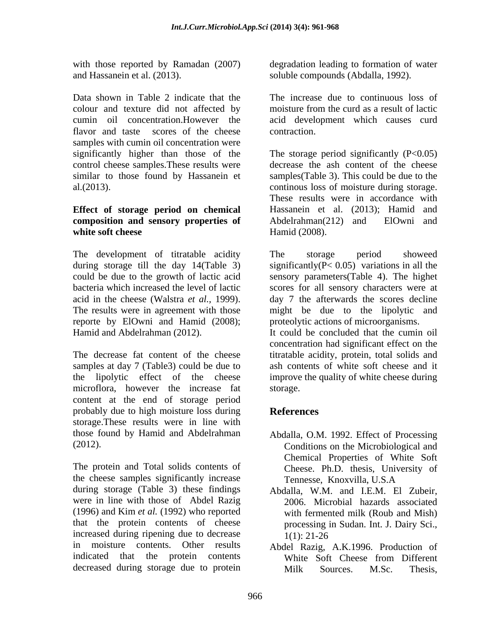Data shown in Table 2 indicate that the colour and texture did not affected by moisture from the curd as a result of lactic cumin oil concentration.However the acid development which causes curd flavor and taste scores of the cheese contraction. samples with cumin oil concentration were control cheese samples.These results were

## **Effect of storage period on chemical composition and sensory properties of**

The development of titratable acidity The storage period showeed during storage till the day 14(Table 3) reporte by ElOwni and Hamid (2008); Hamid and Abdelrahman (2012). It could be concluded that the cumin oil

The decrease fat content of the cheese microflora, however the increase fat content at the end of storage period probably due to high moisture loss during References storage.These results were in line with those found by Hamid and Abdelrahman

The protein and Total solids contents of Cheese. Ph.D. thesis, University of the cheese samples significantly increase Tennesse. Knoxvilla, U.S.A during storage (Table 3) these findings Abdalla, W.M. and I.E.M. El Zubeir, were in line with those of Abdel Razig (1996) and Kim *et al.* (1992) who reported that the protein contents of cheese increased during ripening due to decrease  $1(1)$ : 21-26 in moisture contents. Other results Abdel Razig, A.K.1996. Production of indicated that the protein contents decreased during storage due to protein Milk Sources. M.Sc. Thesis.

with those reported by Ramadan (2007) degradation leading to formation of water and Hassanein et al. (2013). soluble compounds (Abdalla, 1992).

> The increase due to continuous loss of moisture from the curd as a result of lactic contraction.

significantly higher than those of the The storage period significantly (P<0.05) similar to those found by Hassanein et samples(Table 3). This could be due to the al.(2013). continous loss of moisture during storage. **white soft cheese** Hamid (2008). decrease the ash content of the cheese These results were in accordance with Hassanein et al. (2013); Hamid and Abdelrahman(212) and ElOwni and Hamid (2008).

could be due to the growth of lactic acid sensory parameters(Table 4). The highet bacteria which increased the level of lactic scores for all sensory characters were at acid in the cheese (Walstra *et al.,* 1999). day 7 the afterwards the scores decline The results were in agreement with those might be due to the lipolytic and The storage period showeed significantly( $P < 0.05$ ) variations in all the proteolytic actions of microorganisms.

samples at day 7 (Table3) could be due to ash contents of white soft cheese and it the lipolytic effect of the cheese improve the quality of white cheese during concentration had significant effect on the titratable acidity, protein, total solids and storage.

## **References**

- (2012). Conditions on the Microbiological and Abdalla, O.M. 1992. Effect of Processing Chemical Properties of White Soft Tennesse, Knoxvilla, U.S.A
	- 2006. Microbial hazards associated with fermented milk (Roub and Mish) processing in Sudan. Int. J. Dairy Sci., 1(1): 21-26
	- White Soft Cheese from Different Milk Sources. M.Sc. Thesis,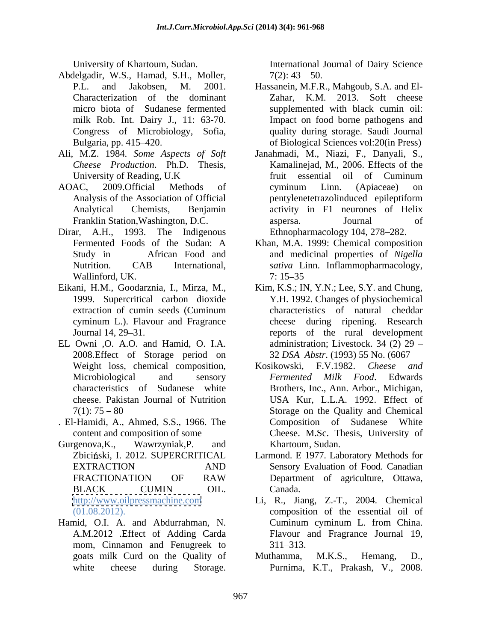- Abdelgadir, W.S., Hamad, S.H., Moller,
- Ali, M.Z. 1984. *Some Aspects of Soft*
- 
- Dirar, A.H., 1993. The Indigenous Ethnopharmacology 104, 278–282. Wallinford, UK.
- cyminum L.). Flavour and Fragrance
- EL Owni ,O. A.O. and Hamid, O. I.A. 2008.Effect of Storage period on
- . El-Hamidi, A., Ahmed, S.S., 1966. The
- 
- mom, Cinnamon and Fenugreek to 311–313.

University of Khartoum, Sudan. International Journal of Dairy Science  $7(2)$ : 43 – 50.

- P.L. and Jakobsen, M. 2001. Hassanein, M.F.R., Mahgoub, S.A. and El-<br>Characterization of the dominant Zahar, K.M. 2013. Soft cheese micro biota of Sudanese fermented supplemented with black cumin oil: milk Rob. Int. Dairy J., 11: 63-70. Impact on food borne pathogens and Congress of Microbiology, Sofia, quality during storage. Saudi Journal Bulgaria, pp. 415 420. of Biological Sciences vol:20(in Press) Hassanein, M.F.R., Mahgoub, S.A. and El- Zahar, K.M. 2013. Soft cheese
- *Cheese Production*. Ph.D. Thesis, Kamalinejad, M., 2006. Effects of the University of Reading, U.K fruit essential oil of Cuminum AOAC, 2009.Official Methods of Analysis of the Association of Official pentylenetetrazolinduced epileptiform Analytical Chemists, Benjamin activity in F1 neurones of Helix Franklin Station,Washington, D.C. Janahmadi, M., Niazi, F., Danyali, S., fruit essential oil of Cuminum cyminum Linn. (Apiaceae) on aspersa. Journal of
	- Fermented Foods of the Sudan: A Khan, M.A. 1999: Chemical composition Study in African Food and and medicinal properties of *Nigella*  Nutrition. CAB International, *sativa* Linn. Inflammopharmacology, 7: 15 35
- Eikani, H.M., Goodarznia, I., Mirza, M., Kim, K.S.; IN, Y.N.; Lee, S.Y. and Chung, 1999. Supercritical carbon dioxide Y.H. 1992. Changes of physiochemical extraction of cumin seeds (Cuminum Journal 14, 29–31. The reports of the rural development characteristics of natural cheddar during ripening. Research administration; Livestock. 34 (2) 29 32 *DSA Abstr*. (1993) 55 No. (6067
- Weight loss, chemical composition, Kosikowski, F.V.1982. Cheese and Microbiological and sensory *Fermented Milk Food*. Edwards characteristics of Sudanese white Brothers, Inc., Ann. Arbor., Michigan, cheese. Pakistan Journal of Nutrition USA Kur, L.L.A. 1992. Effect of  $7(1)$ :  $75 - 80$  Storage on the Quality and Chemical content and composition of some Cheese. M.Sc. Thesis, University of Gurgenova,K., Wawrzyniak,P. and Kosikowski, F.V.1982. *Cheese Fermented Milk Food*. Edwards Composition of Sudanese White Khartoum, Sudan.
	- Zbiciński, I. 2012. SUPERCRITICAL Larmond. E 1977. Laboratory Methods for EXTRACTION AND Sensory Evaluation of Food. Canadian FRACTIONATION OF RAW Department of agriculture, Ottawa, BLACK CUMIN OIL. Canada. Sensory Evaluation of Food. Canadian Department of agriculture, Ottawa, Canada.
- <http://www.oilpressmachine.com> Li, R., Jiang, Z.-T., 2004. Chemical (01.08.2012). composition of the essential oil of Hamid, O.I. A. and Abdurrahman, N. A.M.2012 .Effect of Adding Carda Flavour and Fragrance Journal 19, Cuminum cyminum L. from China. 311–313.
	- goats milk Curd on the Quality of white cheese during Storage. Purnima, K.T., Prakash, V., 2008. Muthamma, M.K.S., Hemang, D.,